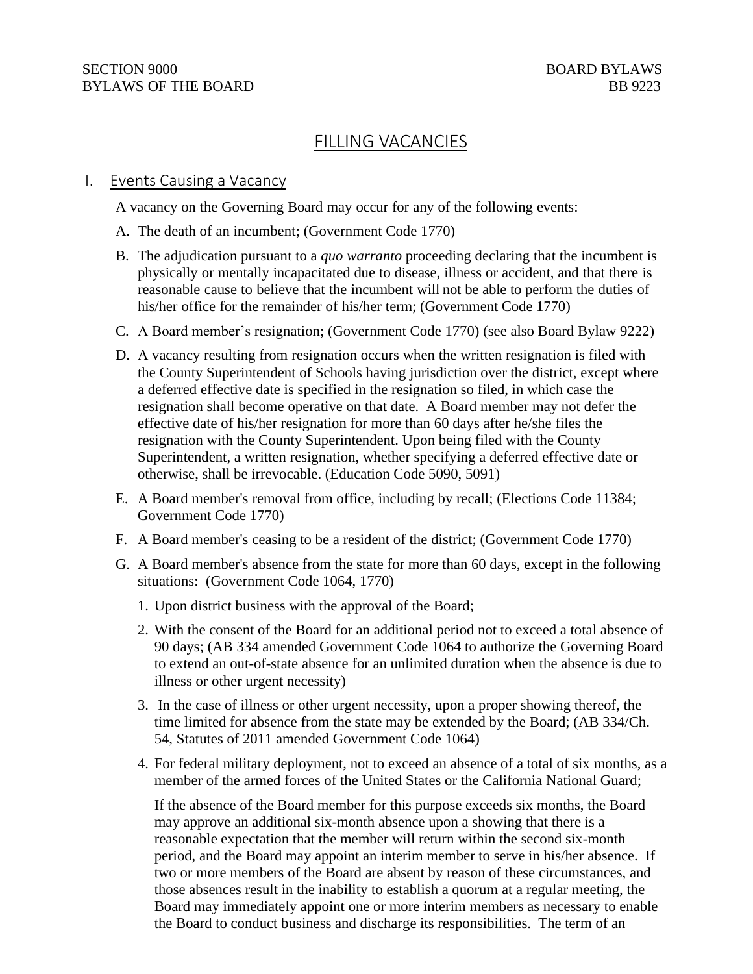# FILLING VACANCIES

#### I. Events Causing a Vacancy

A vacancy on the Governing Board may occur for any of the following events:

- A. The death of an incumbent; (Government Code 1770)
- B. The adjudication pursuant to a *quo warranto* proceeding declaring that the incumbent is physically or mentally incapacitated due to disease, illness or accident, and that there is reasonable cause to believe that the incumbent will not be able to perform the duties of his/her office for the remainder of his/her term; (Government Code 1770)
- C. A Board member's resignation; (Government Code 1770) (see also Board Bylaw 9222)
- D. A vacancy resulting from resignation occurs when the written resignation is filed with the County Superintendent of Schools having jurisdiction over the district, except where a deferred effective date is specified in the resignation so filed, in which case the resignation shall become operative on that date. A Board member may not defer the effective date of his/her resignation for more than 60 days after he/she files the resignation with the County Superintendent. Upon being filed with the County Superintendent, a written resignation, whether specifying a deferred effective date or otherwise, shall be irrevocable. (Education Code 5090, 5091)
- E. A Board member's removal from office, including by recall; (Elections Code 11384; Government Code 1770)
- F. A Board member's ceasing to be a resident of the district; (Government Code 1770)
- G. A Board member's absence from the state for more than 60 days, except in the following situations: (Government Code 1064, 1770)
	- 1. Upon district business with the approval of the Board;
	- 2. With the consent of the Board for an additional period not to exceed a total absence of 90 days; (AB 334 amended Government Code 1064 to authorize the Governing Board to extend an out-of-state absence for an unlimited duration when the absence is due to illness or other urgent necessity)
	- 3. In the case of illness or other urgent necessity, upon a proper showing thereof, the time limited for absence from the state may be extended by the Board; (AB 334/Ch. 54, Statutes of 2011 amended Government Code 1064)
	- 4. For federal military deployment, not to exceed an absence of a total of six months, as a member of the armed forces of the United States or the California National Guard;

If the absence of the Board member for this purpose exceeds six months, the Board may approve an additional six-month absence upon a showing that there is a reasonable expectation that the member will return within the second six-month period, and the Board may appoint an interim member to serve in his/her absence. If two or more members of the Board are absent by reason of these circumstances, and those absences result in the inability to establish a quorum at a regular meeting, the Board may immediately appoint one or more interim members as necessary to enable the Board to conduct business and discharge its responsibilities. The term of an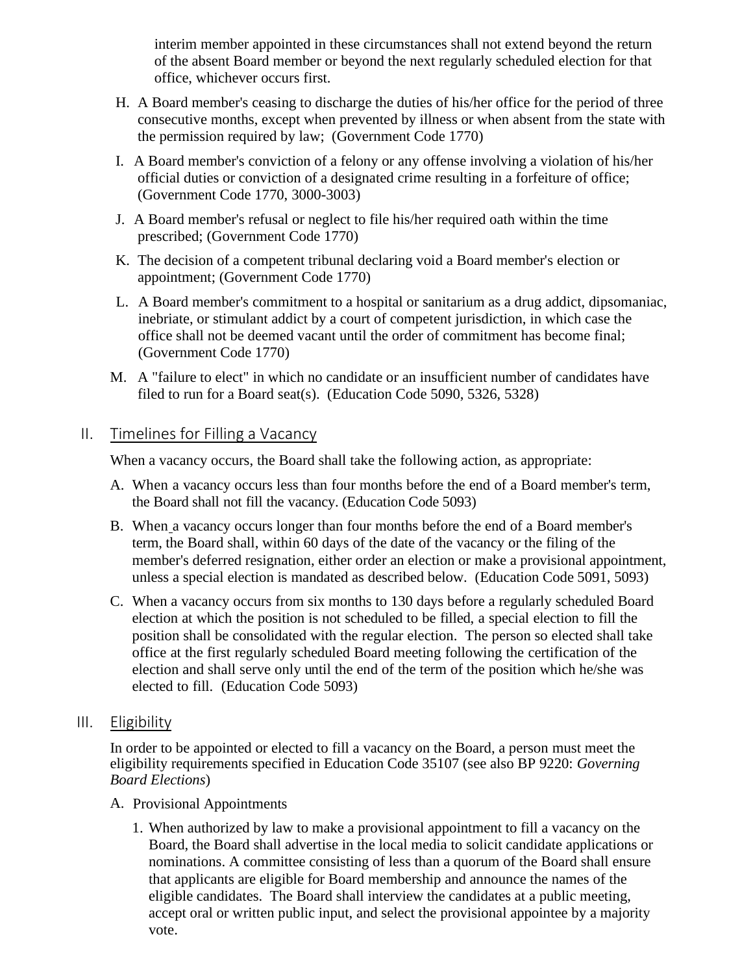interim member appointed in these circumstances shall not extend beyond the return of the absent Board member or beyond the next regularly scheduled election for that office, whichever occurs first.

- H. A Board member's ceasing to discharge the duties of his/her office for the period of three consecutive months, except when prevented by illness or when absent from the state with the permission required by law; (Government Code 1770)
- I. A Board member's conviction of a felony or any offense involving a violation of his/her official duties or conviction of a designated crime resulting in a forfeiture of office; (Government Code 1770, 3000-3003)
- J. A Board member's refusal or neglect to file his/her required oath within the time prescribed; (Government Code 1770)
- K. The decision of a competent tribunal declaring void a Board member's election or appointment; (Government Code 1770)
- L. A Board member's commitment to a hospital or sanitarium as a drug addict, dipsomaniac, inebriate, or stimulant addict by a court of competent jurisdiction, in which case the office shall not be deemed vacant until the order of commitment has become final; (Government Code 1770)
- M. A "failure to elect" in which no candidate or an insufficient number of candidates have filed to run for a Board seat(s). (Education Code 5090, 5326, 5328)

### II. Timelines for Filling a Vacancy

When a vacancy occurs, the Board shall take the following action, as appropriate:

- A. When a vacancy occurs less than four months before the end of a Board member's term, the Board shall not fill the vacancy. (Education Code 5093)
- B. When a vacancy occurs longer than four months before the end of a Board member's term, the Board shall, within 60 days of the date of the vacancy or the filing of the member's deferred resignation, either order an election or make a provisional appointment, unless a special election is mandated as described below. (Education Code 5091, 5093)
- C. When a vacancy occurs from six months to 130 days before a regularly scheduled Board election at which the position is not scheduled to be filled, a special election to fill the position shall be consolidated with the regular election. The person so elected shall take office at the first regularly scheduled Board meeting following the certification of the election and shall serve only until the end of the term of the position which he/she was elected to fill. (Education Code 5093)
- III. Eligibility

In order to be appointed or elected to fill a vacancy on the Board, a person must meet the eligibility requirements specified in Education Code 35107 (see also BP 9220: *Governing Board Elections*)

- A. Provisional Appointments
	- 1. When authorized by law to make a provisional appointment to fill a vacancy on the Board, the Board shall advertise in the local media to solicit candidate applications or nominations. A committee consisting of less than a quorum of the Board shall ensure that applicants are eligible for Board membership and announce the names of the eligible candidates. The Board shall interview the candidates at a public meeting, accept oral or written public input, and select the provisional appointee by a majority vote.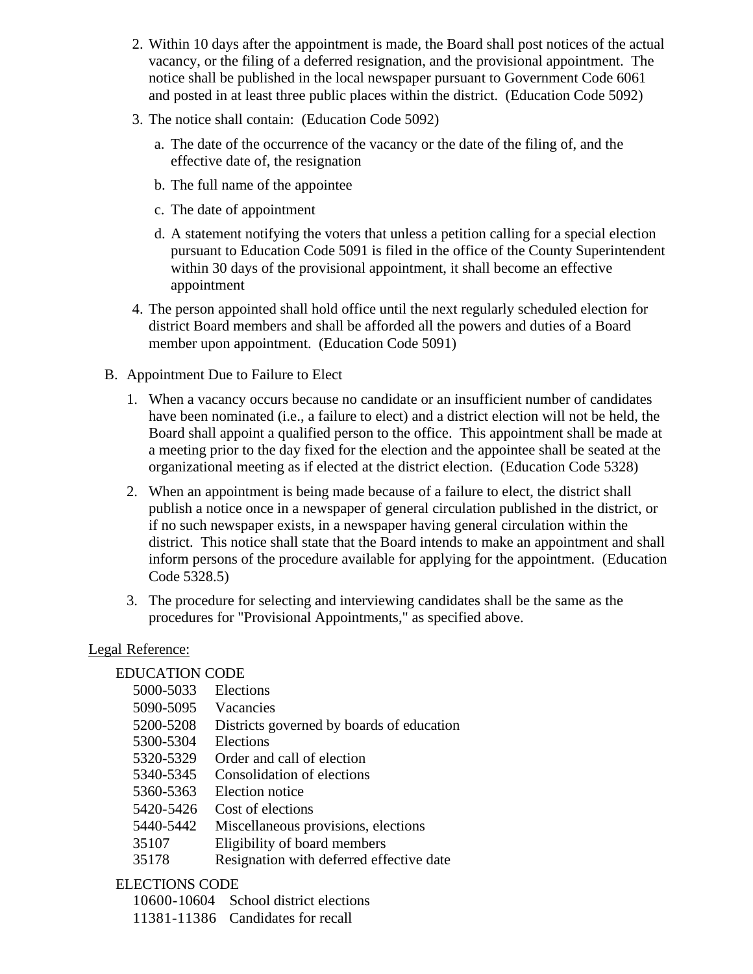- 2. Within 10 days after the appointment is made, the Board shall post notices of the actual vacancy, or the filing of a deferred resignation, and the provisional appointment. The notice shall be published in the local newspaper pursuant to Government Code 6061 and posted in at least three public places within the district. (Education Code 5092)
- 3. The notice shall contain: (Education Code 5092)
	- a. The date of the occurrence of the vacancy or the date of the filing of, and the effective date of, the resignation
	- b. The full name of the appointee
	- c. The date of appointment
	- d. A statement notifying the voters that unless a petition calling for a special election pursuant to Education Code 5091 is filed in the office of the County Superintendent within 30 days of the provisional appointment, it shall become an effective appointment
- 4. The person appointed shall hold office until the next regularly scheduled election for district Board members and shall be afforded all the powers and duties of a Board member upon appointment. (Education Code 5091)
- B. Appointment Due to Failure to Elect
	- 1. When a vacancy occurs because no candidate or an insufficient number of candidates have been nominated (i.e., a failure to elect) and a district election will not be held, the Board shall appoint a qualified person to the office. This appointment shall be made at a meeting prior to the day fixed for the election and the appointee shall be seated at the organizational meeting as if elected at the district election. (Education Code 5328)
	- 2. When an appointment is being made because of a failure to elect, the district shall publish a notice once in a newspaper of general circulation published in the district, or if no such newspaper exists, in a newspaper having general circulation within the district. This notice shall state that the Board intends to make an appointment and shall inform persons of the procedure available for applying for the appointment. (Education Code 5328.5)
	- 3. The procedure for selecting and interviewing candidates shall be the same as the procedures for "Provisional Appointments," as specified above.

#### Legal Reference:

## EDUCATION CODE

- 5000-5033 Elections
- 5090-5095 Vacancies
- 5200-5208 Districts governed by boards of education
- 5300-5304 Elections
- 5320-5329 Order and call of election
- 5340-5345 Consolidation of elections
- 5360-5363 Election notice
- 5420-5426 Cost of elections
- 5440-5442 Miscellaneous provisions, elections
- 35107 Eligibility of board members
- 35178 Resignation with deferred effective date

## ELECTIONS CODE

10600-10604 School district elections

11381-11386 Candidates for recall